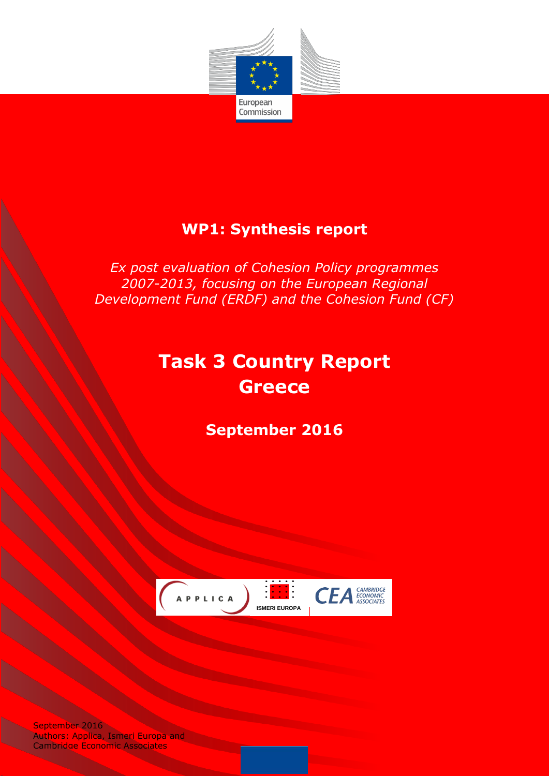

# **WP1: Synthesis report**

*Ex post evaluation of Cohesion Policy programmes 2007-2013, focusing on the European Regional Development Fund (ERDF) and the Cohesion Fund (CF)*

# **Task 3 Country Report Greece**

**September 2016**



September 2016 Authors: Applica, Ismeri Europa and Cambridge Economic Associates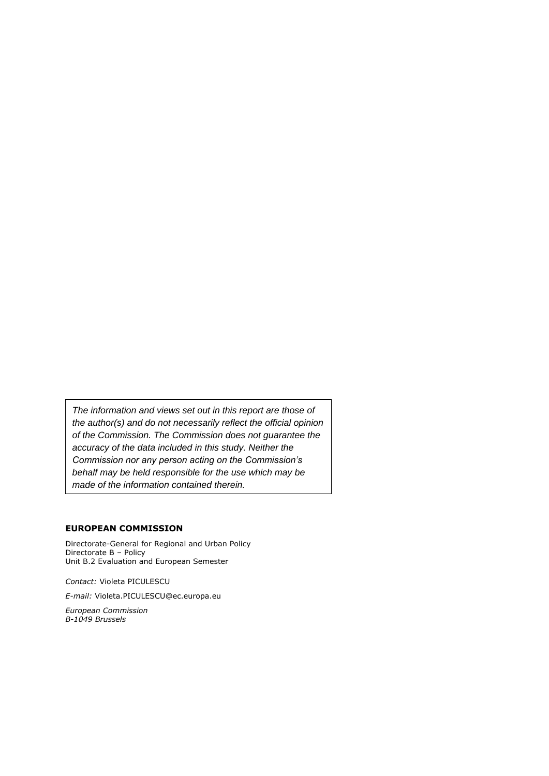*The information and views set out in this report are those of the author(s) and do not necessarily reflect the official opinion of the Commission. The Commission does not guarantee the accuracy of the data included in this study. Neither the Commission nor any person acting on the Commission's behalf may be held responsible for the use which may be made of the information contained therein.*

#### **EUROPEAN COMMISSION**

Directorate-General for Regional and Urban Policy Directorate B – Policy Unit B.2 Evaluation and European Semester

*Contact:* Violeta PICULESCU

*E-mail:* Violeta.PICULESCU@ec.europa.eu

*European Commission B-1049 Brussels*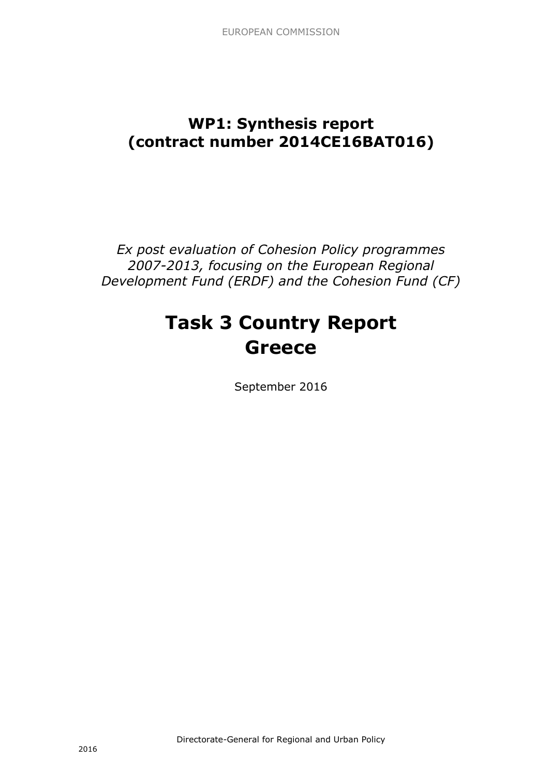# **WP1: Synthesis report (contract number 2014CE16BAT016)**

*Ex post evaluation of Cohesion Policy programmes 2007-2013, focusing on the European Regional Development Fund (ERDF) and the Cohesion Fund (CF)*

# **Task 3 Country Report Greece**

September 2016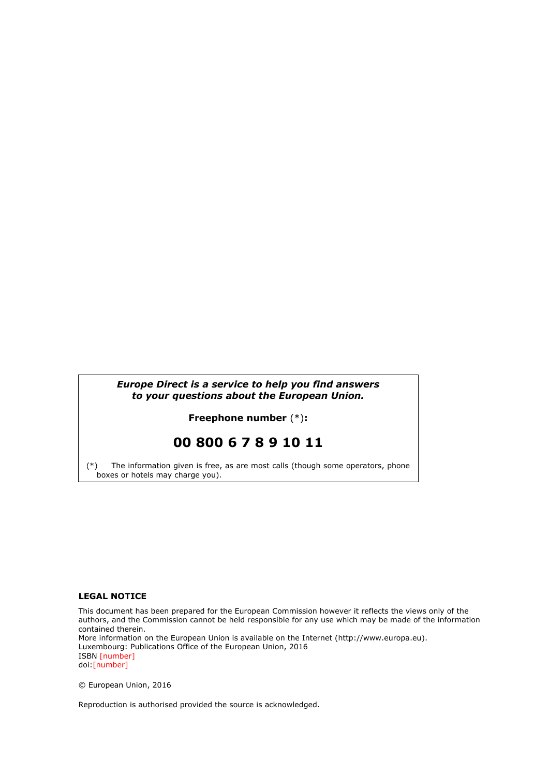#### *Europe Direct is a service to help you find answers to your questions about the European Union.*

**Freephone number** (\*)**:**

# **00 800 6 7 8 9 10 11**

[\(\\*\)](http://europa.eu.int/citizensrights/signpost/about/index_en.htm#note1#note1) The information given is free, as are most calls (though some operators, phone boxes or hotels may charge you).

#### **LEGAL NOTICE**

This document has been prepared for the European Commission however it reflects the views only of the authors, and the Commission cannot be held responsible for any use which may be made of the information contained therein. More information on the European Union is available on the Internet (http://www.europa.eu). Luxembourg: Publications Office of the European Union, 2016 ISBN [number] doi:[number]

© European Union, 2016

Reproduction is authorised provided the source is acknowledged.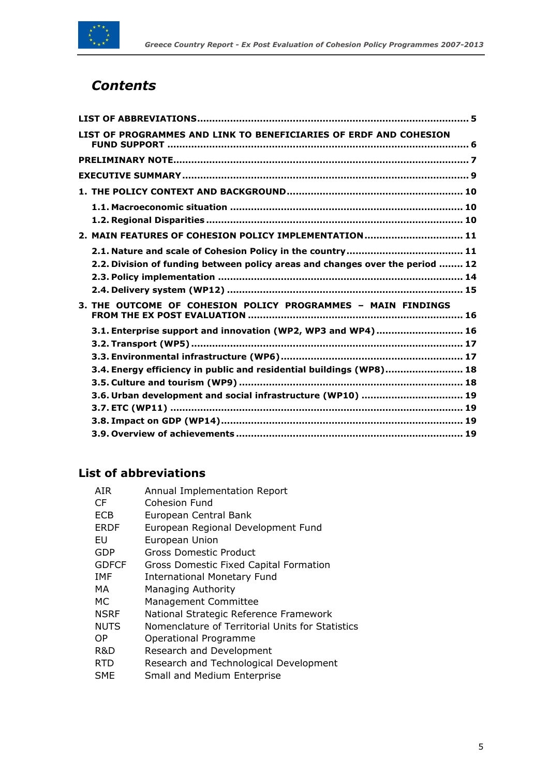

# *Contents*

| LIST OF PROGRAMMES AND LINK TO BENEFICIARIES OF ERDF AND COHESION             |
|-------------------------------------------------------------------------------|
|                                                                               |
|                                                                               |
|                                                                               |
|                                                                               |
| 2. MAIN FEATURES OF COHESION POLICY IMPLEMENTATION 11                         |
| 2.2. Division of funding between policy areas and changes over the period  12 |
|                                                                               |
| 3. THE OUTCOME OF COHESION POLICY PROGRAMMES - MAIN FINDINGS                  |
| 3.1. Enterprise support and innovation (WP2, WP3 and WP4)  16                 |
| 3.4. Energy efficiency in public and residential buildings (WP8) 18           |
| 3.6. Urban development and social infrastructure (WP10)  19                   |
|                                                                               |
|                                                                               |

# <span id="page-4-0"></span>**List of abbreviations**

| AIR          | Annual Implementation Report                     |
|--------------|--------------------------------------------------|
| CF           | <b>Cohesion Fund</b>                             |
| <b>ECB</b>   | European Central Bank                            |
| ERDF         | European Regional Development Fund               |
| EU           | European Union                                   |
| GDP          | <b>Gross Domestic Product</b>                    |
| <b>GDFCF</b> | Gross Domestic Fixed Capital Formation           |
| IMF          | <b>International Monetary Fund</b>               |
| МA           | <b>Managing Authority</b>                        |
| МC           | Management Committee                             |
| <b>NSRF</b>  | National Strategic Reference Framework           |
| <b>NUTS</b>  | Nomenclature of Territorial Units for Statistics |
| ОP           | Operational Programme                            |
| R&D          | Research and Development                         |
| <b>RTD</b>   | Research and Technological Development           |
| SME          | Small and Medium Enterprise                      |
|              |                                                  |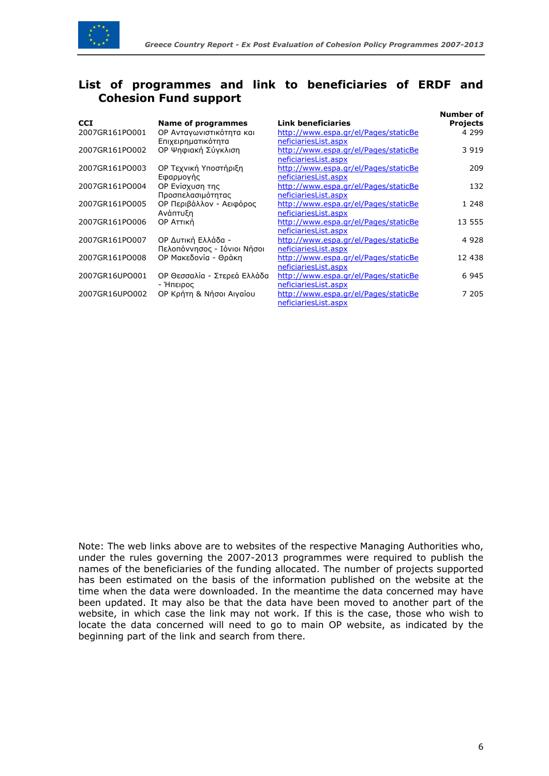

# <span id="page-5-0"></span>**List of programmes and link to beneficiaries of ERDF and Cohesion Fund support**

| <b>CCI</b>     | <b>Name of programmes</b>   | <b>Link beneficiaries</b>            | Number of<br><b>Projects</b> |
|----------------|-----------------------------|--------------------------------------|------------------------------|
| 2007GR161PO001 | ΟΡ Ανταγωνιστικότητα και    | http://www.espa.gr/el/Pages/staticBe | 4 2 9 9                      |
|                | Επιχειρηματικότητα          | neficiariesList.aspx                 |                              |
| 2007GR161PO002 | ΟΡ Ψηφιακή Σύγκλιση         | http://www.espa.gr/el/Pages/staticBe | 3 9 1 9                      |
|                |                             | neficiariesList.aspx                 |                              |
| 2007GR161PO003 | ΟΡ Τεχνική Υποστήριξη       | http://www.espa.gr/el/Pages/staticBe | 209                          |
|                | Εφαρμογής                   | neficiariesList.aspx                 |                              |
| 2007GR161PO004 | OP Ενίσχυση της             | http://www.espa.gr/el/Pages/staticBe | 132                          |
|                | Προσπελασιμότητας           | neficiariesList.aspx                 |                              |
| 2007GR161PO005 | ΟΡ Περιβάλλον - Αειφόρος    | http://www.espa.gr/el/Pages/staticBe | 1 248                        |
|                | Ανάπτυξη                    | neficiariesList.aspx                 |                              |
| 2007GR161PO006 | OP ATTIKN                   | http://www.espa.gr/el/Pages/staticBe | 13 555                       |
|                |                             | neficiariesList.aspx                 |                              |
| 2007GR161PO007 | ΟΡ Δυτική Ελλάδα -          | http://www.espa.gr/el/Pages/staticBe | 4 9 2 8                      |
|                | Πελοπόννησος - Ιόνιοι Νήσοι | neficiariesList.aspx                 |                              |
| 2007GR161PO008 | ΟΡ Μακεδονία - Θράκη        | http://www.espa.gr/el/Pages/staticBe | 12 438                       |
|                |                             | neficiariesList.aspx                 |                              |
| 2007GR16UPO001 | ΟΡ Θεσσαλία - Στερεά Ελλάδα | http://www.espa.gr/el/Pages/staticBe | 6945                         |
|                | - Ήπειρος                   | neficiariesList.aspx                 |                              |
| 2007GR16UPO002 | ΟΡ Κρήτη & Νήσοι Αιγαίου    | http://www.espa.gr/el/Pages/staticBe | 7 205                        |
|                |                             | neficiariesList.aspx                 |                              |

Note: The web links above are to websites of the respective Managing Authorities who, under the rules governing the 2007-2013 programmes were required to publish the names of the beneficiaries of the funding allocated. The number of projects supported has been estimated on the basis of the information published on the website at the time when the data were downloaded. In the meantime the data concerned may have been updated. It may also be that the data have been moved to another part of the website, in which case the link may not work. If this is the case, those who wish to locate the data concerned will need to go to main OP website, as indicated by the beginning part of the link and search from there.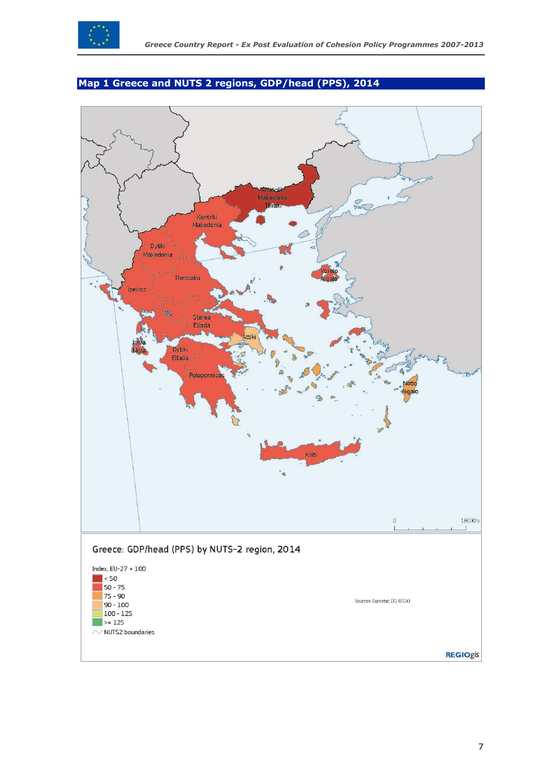

# <span id="page-6-0"></span>**Map 1 Greece and NUTS 2 regions, GDP/head (PPS), 2014**

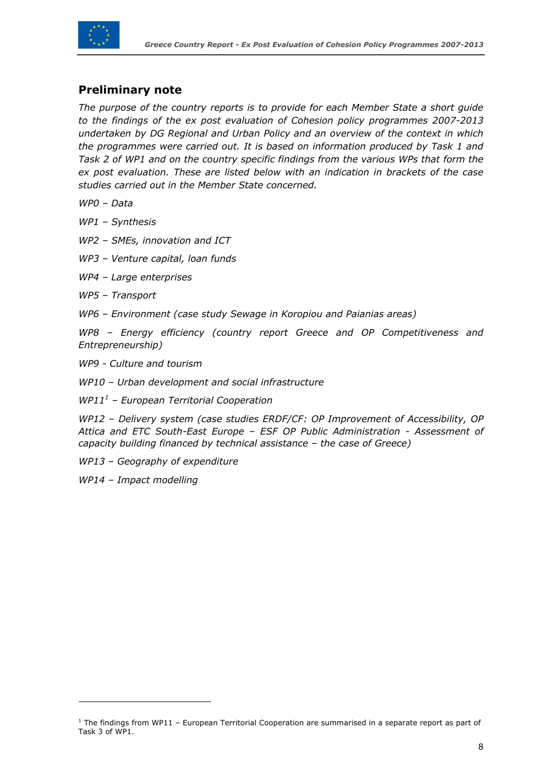

# **Preliminary note**

*The purpose of the country reports is to provide for each Member State a short guide to the findings of the ex post evaluation of Cohesion policy programmes 2007-2013 undertaken by DG Regional and Urban Policy and an overview of the context in which the programmes were carried out. It is based on information produced by Task 1 and Task 2 of WP1 and on the country specific findings from the various WPs that form the ex post evaluation. These are listed below with an indication in brackets of the case studies carried out in the Member State concerned.*

*WP0 – Data*

*WP1 – Synthesis*

*WP2 – SMEs, innovation and ICT* 

*WP3 – Venture capital, loan funds* 

*WP4 – Large enterprises* 

*WP5 – Transport* 

*WP6 – Environment (case study Sewage in Koropiou and Paianias areas)*

*WP8 – Energy efficiency (country report Greece and OP Competitiveness and Entrepreneurship)*

*WP9 - Culture and tourism*

*WP10 – Urban development and social infrastructure*

*WP11<sup>1</sup> – European Territorial Cooperation* 

*WP12 – Delivery system (case studies ERDF/CF: OP Improvement of Accessibility, OP Attica and ETC South-East Europe – ESF OP Public Administration - Assessment of capacity building financed by technical assistance – the case of Greece)*

*WP13 – Geography of expenditure*

*WP14 – Impact modelling*

 $\overline{a}$ 

 $1$  The findings from WP11 – European Territorial Cooperation are summarised in a separate report as part of Task 3 of WP1.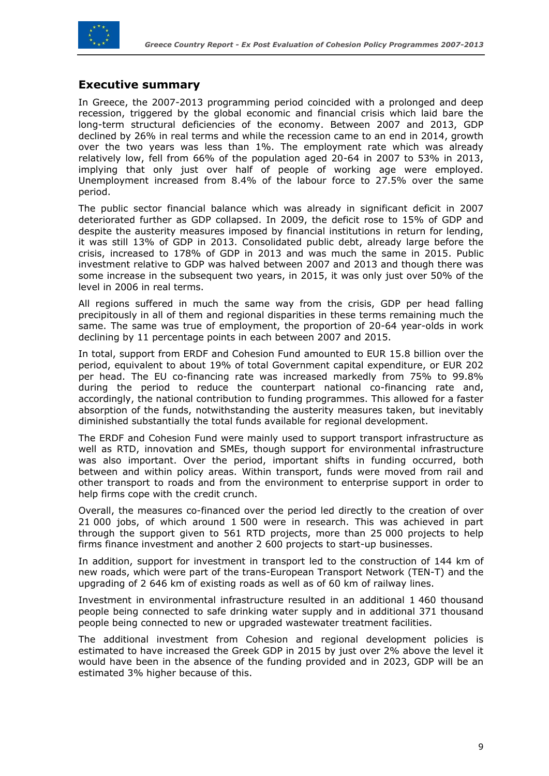

## <span id="page-8-0"></span>**Executive summary**

In Greece, the 2007-2013 programming period coincided with a prolonged and deep recession, triggered by the global economic and financial crisis which laid bare the long-term structural deficiencies of the economy. Between 2007 and 2013, GDP declined by 26% in real terms and while the recession came to an end in 2014, growth over the two years was less than 1%. The employment rate which was already relatively low, fell from 66% of the population aged 20-64 in 2007 to 53% in 2013, implying that only just over half of people of working age were employed. Unemployment increased from 8.4% of the labour force to 27.5% over the same period.

The public sector financial balance which was already in significant deficit in 2007 deteriorated further as GDP collapsed. In 2009, the deficit rose to 15% of GDP and despite the austerity measures imposed by financial institutions in return for lending, it was still 13% of GDP in 2013. Consolidated public debt, already large before the crisis, increased to 178% of GDP in 2013 and was much the same in 2015. Public investment relative to GDP was halved between 2007 and 2013 and though there was some increase in the subsequent two years, in 2015, it was only just over 50% of the level in 2006 in real terms.

All regions suffered in much the same way from the crisis, GDP per head falling precipitously in all of them and regional disparities in these terms remaining much the same. The same was true of employment, the proportion of 20-64 year-olds in work declining by 11 percentage points in each between 2007 and 2015.

In total, support from ERDF and Cohesion Fund amounted to EUR 15.8 billion over the period, equivalent to about 19% of total Government capital expenditure, or EUR 202 per head. The EU co-financing rate was increased markedly from 75% to 99.8% during the period to reduce the counterpart national co-financing rate and, accordingly, the national contribution to funding programmes. This allowed for a faster absorption of the funds, notwithstanding the austerity measures taken, but inevitably diminished substantially the total funds available for regional development.

The ERDF and Cohesion Fund were mainly used to support transport infrastructure as well as RTD, innovation and SMEs, though support for environmental infrastructure was also important. Over the period, important shifts in funding occurred, both between and within policy areas. Within transport, funds were moved from rail and other transport to roads and from the environment to enterprise support in order to help firms cope with the credit crunch.

Overall, the measures co-financed over the period led directly to the creation of over 21 000 jobs, of which around 1 500 were in research. This was achieved in part through the support given to 561 RTD projects, more than 25 000 projects to help firms finance investment and another 2 600 projects to start-up businesses.

In addition, support for investment in transport led to the construction of 144 km of new roads, which were part of the trans-European Transport Network (TEN-T) and the upgrading of 2 646 km of existing roads as well as of 60 km of railway lines.

Investment in environmental infrastructure resulted in an additional 1 460 thousand people being connected to safe drinking water supply and in additional 371 thousand people being connected to new or upgraded wastewater treatment facilities.

The additional investment from Cohesion and regional development policies is estimated to have increased the Greek GDP in 2015 by just over 2% above the level it would have been in the absence of the funding provided and in 2023, GDP will be an estimated 3% higher because of this.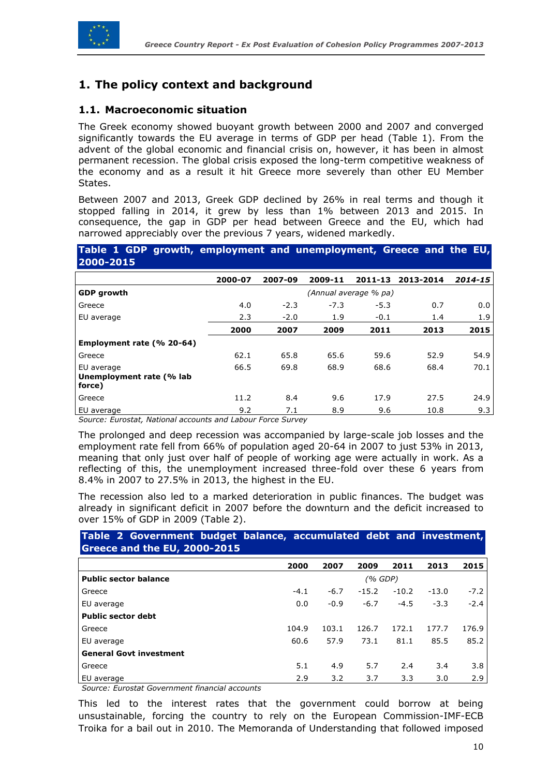

# <span id="page-9-0"></span>**1. The policy context and background**

### <span id="page-9-1"></span>**1.1. Macroeconomic situation**

The Greek economy showed buoyant growth between 2000 and 2007 and converged significantly towards the EU average in terms of GDP per head (Table 1). From the advent of the global economic and financial crisis on, however, it has been in almost permanent recession. The global crisis exposed the long-term competitive weakness of the economy and as a result it hit Greece more severely than other EU Member States.

Between 2007 and 2013, Greek GDP declined by 26% in real terms and though it stopped falling in 2014, it grew by less than 1% between 2013 and 2015. In consequence, the gap in GDP per head between Greece and the EU, which had narrowed appreciably over the previous 7 years, widened markedly.

#### **Table 1 GDP growth, employment and unemployment, Greece and the EU, 2000-2015**

|                                                  | 2000-07 | 2007-09 | 2009-11 | 2011-13               | 2013-2014 | 2014-15 |
|--------------------------------------------------|---------|---------|---------|-----------------------|-----------|---------|
| <b>GDP</b> growth                                |         |         |         | (Annual average % pa) |           |         |
| Greece                                           | 4.0     | $-2.3$  | $-7.3$  | $-5.3$                | 0.7       | 0.0     |
| EU average                                       | 2.3     | $-2.0$  | 1.9     | $-0.1$                | 1.4       | 1.9     |
|                                                  | 2000    | 2007    | 2009    | 2011                  | 2013      | 2015    |
| Employment rate (% 20-64)                        |         |         |         |                       |           |         |
| Greece                                           | 62.1    | 65.8    | 65.6    | 59.6                  | 52.9      | 54.9    |
| EU average<br>Unemployment rate (% lab<br>force) | 66.5    | 69.8    | 68.9    | 68.6                  | 68.4      | 70.1    |
| Greece                                           | 11.2    | 8.4     | 9.6     | 17.9                  | 27.5      | 24.9    |
| EU average                                       | 9.2     | 7.1     | 8.9     | 9.6                   | 10.8      | 9.3     |

*Source: Eurostat, National accounts and Labour Force Survey*

The prolonged and deep recession was accompanied by large-scale job losses and the employment rate fell from 66% of population aged 20-64 in 2007 to just 53% in 2013, meaning that only just over half of people of working age were actually in work. As a reflecting of this, the unemployment increased three-fold over these 6 years from 8.4% in 2007 to 27.5% in 2013, the highest in the EU.

The recession also led to a marked deterioration in public finances. The budget was already in significant deficit in 2007 before the downturn and the deficit increased to over 15% of GDP in 2009 (Table 2).

#### **Table 2 Government budget balance, accumulated debt and investment, Greece and the EU, 2000-2015**

|                                | 2000   | 2007   | 2009    | 2011    | 2013    | 2015   |
|--------------------------------|--------|--------|---------|---------|---------|--------|
| <b>Public sector balance</b>   |        |        | (% GDP) |         |         |        |
| Greece                         | $-4.1$ | $-6.7$ | $-15.2$ | $-10.2$ | $-13.0$ | $-7.2$ |
| EU average                     | 0.0    | $-0.9$ | $-6.7$  | $-4.5$  | $-3.3$  | $-2.4$ |
| <b>Public sector debt</b>      |        |        |         |         |         |        |
| Greece                         | 104.9  | 103.1  | 126.7   | 172.1   | 177.7   | 176.9  |
| EU average                     | 60.6   | 57.9   | 73.1    | 81.1    | 85.5    | 85.2   |
| <b>General Govt investment</b> |        |        |         |         |         |        |
| Greece                         | 5.1    | 4.9    | 5.7     | 2.4     | 3.4     | 3.8    |
| EU average                     | 2.9    | 3.2    | 3.7     | 3.3     | 3.0     | 2.9    |

*Source: Eurostat Government financial accounts*

<span id="page-9-2"></span>This led to the interest rates that the government could borrow at being unsustainable, forcing the country to rely on the European Commission-IMF-ECB Troika for a bail out in 2010. The Memoranda of Understanding that followed imposed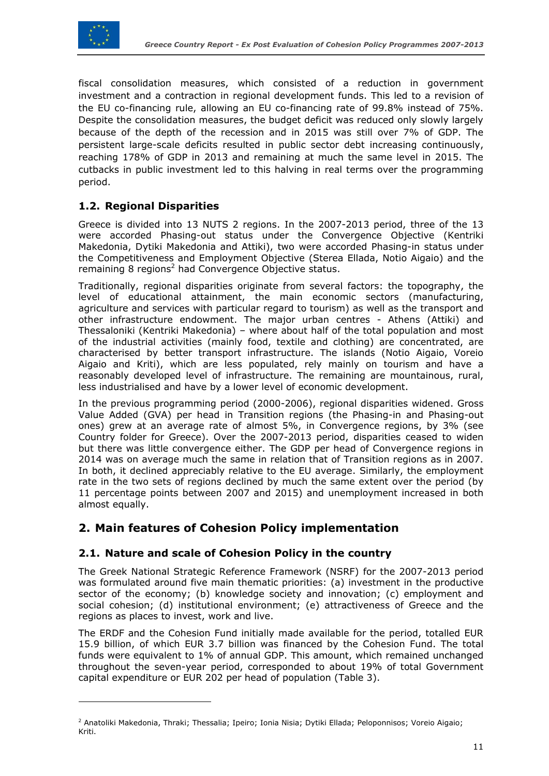

 $\overline{a}$ 

fiscal consolidation measures, which consisted of a reduction in government investment and a contraction in regional development funds. This led to a revision of the EU co-financing rule, allowing an EU co-financing rate of 99.8% instead of 75%. Despite the consolidation measures, the budget deficit was reduced only slowly largely because of the depth of the recession and in 2015 was still over 7% of GDP. The persistent large-scale deficits resulted in public sector debt increasing continuously, reaching 178% of GDP in 2013 and remaining at much the same level in 2015. The cutbacks in public investment led to this halving in real terms over the programming period.

### **1.2. Regional Disparities**

Greece is divided into 13 NUTS 2 regions. In the 2007-2013 period, three of the 13 were accorded Phasing-out status under the Convergence Objective (Kentriki Makedonia, Dytiki Makedonia and Attiki), two were accorded Phasing-in status under the Competitiveness and Employment Objective (Sterea Ellada, Notio Aigaio) and the remaining 8 regions<sup>2</sup> had Convergence Objective status.

Traditionally, regional disparities originate from several factors: the topography, the level of educational attainment, the main economic sectors (manufacturing, agriculture and services with particular regard to tourism) as well as the transport and other infrastructure endowment. The major urban centres - Athens (Attiki) and Thessaloniki (Kentriki Makedonia) – where about half of the total population and most of the industrial activities (mainly food, textile and clothing) are concentrated, are characterised by better transport infrastructure. The islands (Notio Aigaio, Voreio Aigaio and Kriti), which are less populated, rely mainly on tourism and have a reasonably developed level of infrastructure. The remaining are mountainous, rural, less industrialised and have by a lower level of economic development.

In the previous programming period (2000-2006), regional disparities widened. Gross Value Added (GVA) per head in Transition regions (the Phasing-in and Phasing-out ones) grew at an average rate of almost 5%, in Convergence regions, by 3% (see Country folder for Greece). Over the 2007-2013 period, disparities ceased to widen but there was little convergence either. The GDP per head of Convergence regions in 2014 was on average much the same in relation that of Transition regions as in 2007. In both, it declined appreciably relative to the EU average. Similarly, the employment rate in the two sets of regions declined by much the same extent over the period (by 11 percentage points between 2007 and 2015) and unemployment increased in both almost equally.

# <span id="page-10-0"></span>**2. Main features of Cohesion Policy implementation**

#### <span id="page-10-1"></span>**2.1. Nature and scale of Cohesion Policy in the country**

The Greek National Strategic Reference Framework (NSRF) for the 2007-2013 period was formulated around five main thematic priorities: (a) investment in the productive sector of the economy; (b) knowledge society and innovation; (c) employment and social cohesion; (d) institutional environment; (e) attractiveness of Greece and the regions as places to invest, work and live.

The ERDF and the Cohesion Fund initially made available for the period, totalled EUR 15.9 billion, of which EUR 3.7 billion was financed by the Cohesion Fund. The total funds were equivalent to 1% of annual GDP. This amount, which remained unchanged throughout the seven-year period, corresponded to about 19% of total Government capital expenditure or EUR 202 per head of population (Table 3).

<sup>&</sup>lt;sup>2</sup> Anatoliki Makedonia, Thraki; Thessalia; Ipeiro; Ionia Nisia; Dytiki Ellada; Peloponnisos; Voreio Aigaio; Kriti.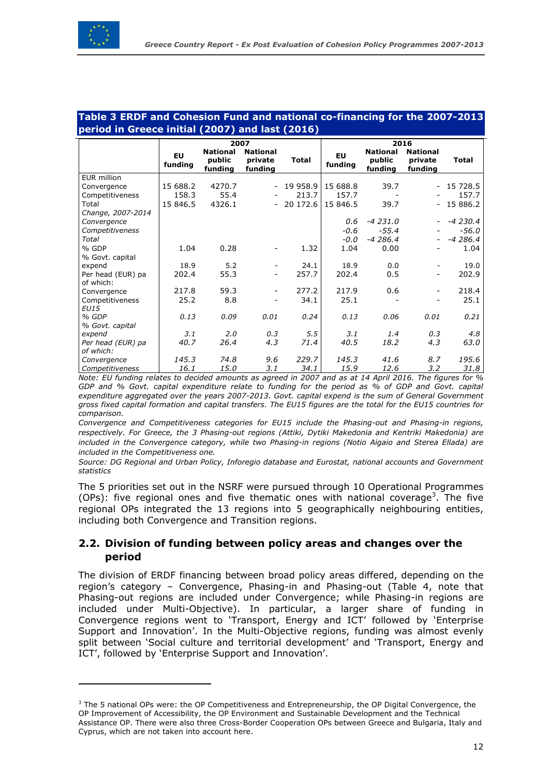$\overline{a}$ 

#### **Table 3 ERDF and Cohesion Fund and national co-financing for the 2007-2013 period in Greece initial (2007) and last (2016)**

|                                | 2007                 |                                      |                                       |              | 2016                 |                                      |                                       |              |
|--------------------------------|----------------------|--------------------------------------|---------------------------------------|--------------|----------------------|--------------------------------------|---------------------------------------|--------------|
|                                | <b>EU</b><br>funding | <b>National</b><br>public<br>funding | <b>National</b><br>private<br>funding | <b>Total</b> | <b>EU</b><br>funding | <b>National</b><br>public<br>funding | <b>National</b><br>private<br>funding | <b>Total</b> |
| <b>EUR million</b>             |                      |                                      |                                       |              |                      |                                      |                                       |              |
| Convergence                    | 15 688.2             | 4270.7                               | $\overline{\phantom{a}}$              | 19 958.9     | 15 688.8             | 39.7                                 |                                       | 15 728.5     |
| Competitiveness                | 158.3                | 55.4                                 |                                       | 213.7        | 157.7                |                                      |                                       | 157.7        |
| Total                          | 15 846.5             | 4326.1                               |                                       | $-20172.6$   | 15 846.5             | 39.7                                 | $\overline{\phantom{0}}$              | 15 886.2     |
| Change, 2007-2014              |                      |                                      |                                       |              |                      |                                      |                                       |              |
| Convergence                    |                      |                                      |                                       |              | 0.6                  | $-4231.0$                            |                                       | $-4230.4$    |
| Competitiveness                |                      |                                      |                                       |              | $-0.6$               | $-55.4$                              |                                       | $-56.0$      |
| Total                          |                      |                                      |                                       |              | $-0.0$               | $-4286.4$                            | $\overline{\phantom{0}}$              | $-4286.4$    |
| % GDP                          | 1.04                 | 0.28                                 | -                                     | 1.32         | 1.04                 | 0.00                                 | -                                     | 1.04         |
| % Govt. capital                |                      |                                      |                                       |              |                      |                                      |                                       |              |
| expend                         | 18.9                 | 5.2                                  | $\overline{\phantom{a}}$              | 24.1         | 18.9                 | 0.0                                  |                                       | 19.0         |
| Per head (EUR) pa<br>of which: | 202.4                | 55.3                                 | -                                     | 257.7        | 202.4                | 0.5                                  | Ξ.                                    | 202.9        |
| Convergence                    | 217.8                | 59.3                                 |                                       | 277.2        | 217.9                | 0.6                                  |                                       | 218.4        |
| Competitiveness<br><b>EU15</b> | 25.2                 | 8.8                                  | -                                     | 34.1         | 25.1                 |                                      |                                       | 25.1         |
| % GDP                          | 0.13                 | 0.09                                 | 0.01                                  | 0.24         | 0.13                 | 0.06                                 | 0.01                                  | 0.21         |
| % Govt. capital                |                      |                                      |                                       |              |                      |                                      |                                       |              |
| expend                         | 3.1                  | 2.0                                  | 0.3                                   | 5.5          | 3.1                  | 1.4                                  | 0.3                                   | 4.8          |
| Per head (EUR) pa<br>of which: | 40.7                 | 26.4                                 | 4.3                                   | 71.4         | 40.5                 | 18.2                                 | 4.3                                   | 63.0         |
| Convergence                    | 145.3                | 74.8                                 | 9.6                                   | 229.7        | 145.3                | 41.6                                 | 8.7                                   | 195.6        |
| Competitiveness                | 16.1                 | 15.0                                 | 3.1                                   | 34.1         | 15.9                 | 12.6                                 | 3.2                                   | 31.8         |

*Note: EU funding relates to decided amounts as agreed in 2007 and as at 14 April 2016. The figures for % GDP and % Govt. capital expenditure relate to funding for the period as % of GDP and Govt. capital expenditure aggregated over the years 2007-2013. Govt. capital expend is the sum of General Government gross fixed capital formation and capital transfers. The EU15 figures are the total for the EU15 countries for comparison.*

*Convergence and Competitiveness categories for EU15 include the Phasing-out and Phasing-in regions, respectively. For Greece, the 3 Phasing-out regions (Attiki, Dytiki Makedonia and Kentriki Makedonia) are included in the Convergence category, while two Phasing-in regions (Notio Aigaio and Sterea Ellada) are included in the Competitiveness one.* 

*Source: DG Regional and Urban Policy, Inforegio database and Eurostat, national accounts and Government statistics*

The 5 priorities set out in the NSRF were pursued through 10 Operational Programmes (OPs): five regional ones and five thematic ones with national coverage<sup>3</sup>. The five regional OPs integrated the 13 regions into 5 geographically neighbouring entities, including both Convergence and Transition regions.

# <span id="page-11-0"></span>**2.2. Division of funding between policy areas and changes over the period**

The division of ERDF financing between broad policy areas differed, depending on the region's category – Convergence, Phasing-in and Phasing-out (Table 4, note that Phasing-out regions are included under Convergence; while Phasing-in regions are included under Multi-Objective). In particular, a larger share of funding in Convergence regions went to 'Transport, Energy and ICT' followed by 'Enterprise Support and Innovation'. In the Multi-Objective regions, funding was almost evenly split between 'Social culture and territorial development' and 'Transport, Energy and ICT', followed by 'Enterprise Support and Innovation'.

 $3$  The 5 national OPs were: the OP Competitiveness and Entrepreneurship, the OP Digital Convergence, the OP Improvement of Accessibility, the OP Environment and Sustainable Development and the Technical Assistance OP. There were also three Cross-Border Cooperation OPs between Greece and Bulgaria, Italy and Cyprus, which are not taken into account here.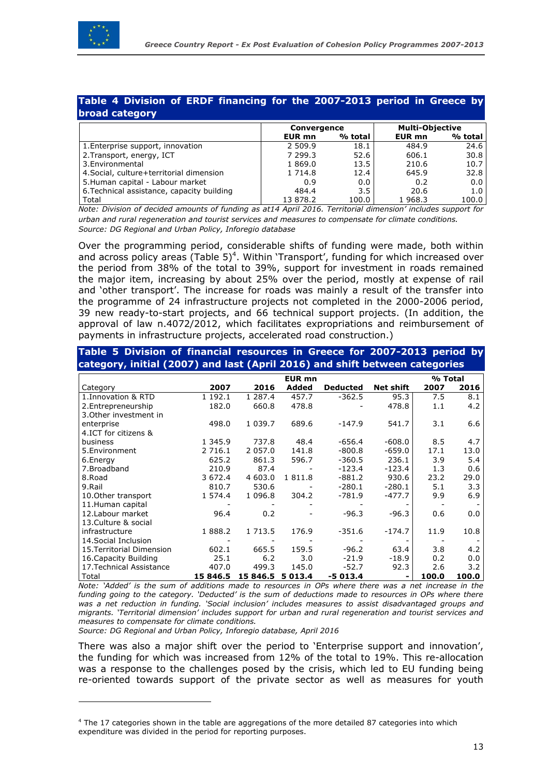

#### **Table 4 Division of ERDF financing for the 2007-2013 period in Greece by broad category**

| ____________                               |                    |         |                        |                  |  |
|--------------------------------------------|--------------------|---------|------------------------|------------------|--|
|                                            | <b>Convergence</b> |         | <b>Multi-Objective</b> |                  |  |
|                                            | EUR mn             | % total | EUR mn                 | % total          |  |
| 1. Enterprise support, innovation          | 2 509.9            | 18.1    | 484.9                  | 24.6             |  |
| 2. Transport, energy, ICT                  | 7 299.3            | 52.6    | 606.1                  | 30.8             |  |
| 3. Environmental                           | 1869.0             | 13.5    | 210.6                  | 10.7             |  |
| 4. Social, culture+territorial dimension   | 1 7 1 4 . 8        | 12.4    | 645.9                  | 32.8             |  |
| 5. Human capital - Labour market           | 0.9                | 0.0     | 0.2                    | $0.0 \mid$       |  |
| 6. Technical assistance, capacity building | 484.4              | 3.5     | 20.6                   | 1.0 <sub>1</sub> |  |
| Total                                      | 13 878.2           | 100.0   | 1968.3                 | 100.0            |  |

*Note: Division of decided amounts of funding as at14 April 2016. Territorial dimension' includes support for urban and rural regeneration and tourist services and measures to compensate for climate conditions. Source: DG Regional and Urban Policy, Inforegio database*

Over the programming period, considerable shifts of funding were made, both within and across policy areas (Table  $5)^4$ . Within 'Transport', funding for which increased over the period from 38% of the total to 39%, support for investment in roads remained the major item, increasing by about 25% over the period, mostly at expense of rail and 'other transport'. The increase for roads was mainly a result of the transfer into the programme of 24 infrastructure projects not completed in the 2000-2006 period, 39 new ready-to-start projects, and 66 technical support projects. (In addition, the approval of law n.4072/2012, which facilitates expropriations and reimbursement of payments in infrastructure projects, accelerated road construction.)

| Table 5 Division of financial resources in Greece for 2007-2013 period by   |             |             |               |                 |                  |         |       |
|-----------------------------------------------------------------------------|-------------|-------------|---------------|-----------------|------------------|---------|-------|
| category, initial (2007) and last (April 2016) and shift between categories |             |             |               |                 |                  |         |       |
|                                                                             |             |             | <b>EUR mn</b> |                 |                  | % Total |       |
| Category                                                                    | 2007        | 2016        | Added         | <b>Deducted</b> | <b>Net shift</b> | 2007    | 2016  |
| 1. Innovation & RTD                                                         | 1 192.1     | 1 287.4     | 457.7         | $-362.5$        | 95.3             | 7.5     | 8.1   |
| 2. Entrepreneurship                                                         | 182.0       | 660.8       | 478.8         |                 | 478.8            | 1.1     | 4.2   |
| 3. Other investment in                                                      |             |             |               |                 |                  |         |       |
| enterprise                                                                  | 498.0       | 1 0 3 9 . 7 | 689.6         | -147.9          | 541.7            | 3.1     | 6.6   |
| 4.ICT for citizens &                                                        |             |             |               |                 |                  |         |       |
| business                                                                    | 1 345.9     | 737.8       | 48.4          | $-656.4$        | $-608.0$         | 8.5     | 4.7   |
| 5. Environment                                                              | 2 7 1 6 . 1 | 2 0 5 7 .0  | 141.8         | $-800.8$        | $-659.0$         | 17.1    | 13.0  |
| 6.Energy                                                                    | 625.2       | 861.3       | 596.7         | $-360.5$        | 236.1            | 3.9     | 5.4   |
| 7.Broadband                                                                 | 210.9       | 87.4        |               | $-123.4$        | $-123.4$         | 1.3     | 0.6   |
| 8.Road                                                                      | 3 6 7 2 . 4 | 4 603.0     | 1811.8        | $-881.2$        | 930.6            | 23.2    | 29.0  |
| 9.Rail                                                                      | 810.7       | 530.6       |               | $-280.1$        | $-280.1$         | 5.1     | 3.3   |
| 10. Other transport                                                         | 1 574.4     | 1 096.8     | 304.2         | -781.9          | $-477.7$         | 9.9     | 6.9   |
| 11.Human capital                                                            |             |             |               |                 |                  |         |       |
| 12. Labour market                                                           | 96.4        | 0.2         |               | $-96.3$         | $-96.3$          | 0.6     | 0.0   |
| 13. Culture & social                                                        |             |             |               |                 |                  |         |       |
| infrastructure                                                              | 1888.2      | 1 7 1 3 . 5 | 176.9         | $-351.6$        | $-174.7$         | 11.9    | 10.8  |
| 14. Social Inclusion                                                        |             |             |               |                 |                  |         |       |
| 15. Territorial Dimension                                                   | 602.1       | 665.5       | 159.5         | $-96.2$         | 63.4             | 3.8     | 4.2   |
| 16. Capacity Building                                                       | 25.1        | 6.2         | 3.0           | $-21.9$         | $-18.9$          | 0.2     | 0.0   |
| 17. Technical Assistance                                                    | 407.0       | 499.3       | 145.0         | $-52.7$         | 92.3             | 2.6     | 3.2   |
| Total                                                                       | 15 846.5    | 15 846.5    | 5 013.4       | $-5013.4$       | Ξ.               | 100.0   | 100.0 |

*Note: 'Added' is the sum of additions made to resources in OPs where there was a net increase in the funding going to the category. 'Deducted' is the sum of deductions made to resources in OPs where there was a net reduction in funding. 'Social inclusion' includes measures to assist disadvantaged groups and migrants. 'Territorial dimension' includes support for urban and rural regeneration and tourist services and measures to compensate for climate conditions.*

*Source: DG Regional and Urban Policy, Inforegio database, April 2016*

 $\overline{a}$ 

There was also a major shift over the period to 'Enterprise support and innovation', the funding for which was increased from 12% of the total to 19%. This re-allocation was a response to the challenges posed by the crisis, which led to EU funding being re-oriented towards support of the private sector as well as measures for youth

 $4$  The 17 categories shown in the table are aggregations of the more detailed 87 categories into which expenditure was divided in the period for reporting purposes.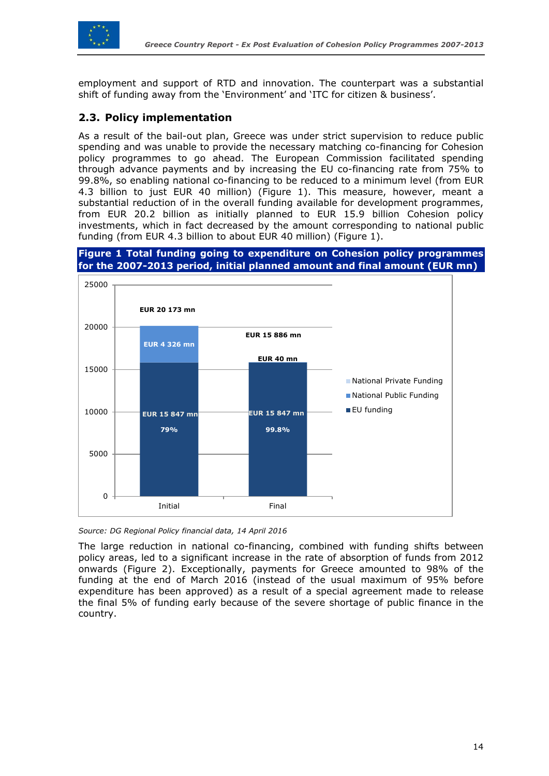

employment and support of RTD and innovation. The counterpart was a substantial shift of funding away from the 'Environment' and 'ITC for citizen & business'.

# <span id="page-13-0"></span>**2.3. Policy implementation**

As a result of the bail-out plan, Greece was under strict supervision to reduce public spending and was unable to provide the necessary matching co-financing for Cohesion policy programmes to go ahead. The European Commission facilitated spending through advance payments and by increasing the EU co-financing rate from 75% to 99.8%, so enabling national co-financing to be reduced to a minimum level (from EUR 4.3 billion to just EUR 40 million) (Figure 1). This measure, however, meant a substantial reduction of in the overall funding available for development programmes, from EUR 20.2 billion as initially planned to EUR 15.9 billion Cohesion policy investments, which in fact decreased by the amount corresponding to national public funding (from EUR 4.3 billion to about EUR 40 million) (Figure 1).

#### **Figure 1 Total funding going to expenditure on Cohesion policy programmes for the 2007-2013 period, initial planned amount and final amount (EUR mn)**



*Source: DG Regional Policy financial data, 14 April 2016*

The large reduction in national co-financing, combined with funding shifts between policy areas, led to a significant increase in the rate of absorption of funds from 2012 onwards (Figure 2). Exceptionally, payments for Greece amounted to 98% of the funding at the end of March 2016 (instead of the usual maximum of 95% before expenditure has been approved) as a result of a special agreement made to release the final 5% of funding early because of the severe shortage of public finance in the country.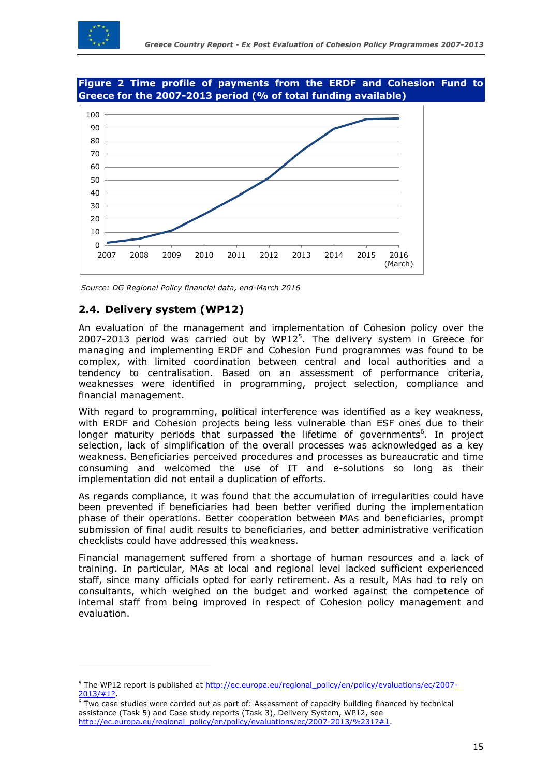

 $\overline{a}$ 

#### **Figure 2 Time profile of payments from the ERDF and Cohesion Fund to Greece for the 2007-2013 period (% of total funding available)**



<span id="page-14-0"></span>*Source: DG Regional Policy financial data, end-March 2016*

# **2.4. Delivery system (WP12)**

An evaluation of the management and implementation of Cohesion policy over the 2007-2013 period was carried out by WP12 $<sup>5</sup>$ . The delivery system in Greece for</sup> managing and implementing ERDF and Cohesion Fund programmes was found to be complex, with limited coordination between central and local authorities and a tendency to centralisation. Based on an assessment of performance criteria, weaknesses were identified in programming, project selection, compliance and financial management.

With regard to programming, political interference was identified as a key weakness, with ERDF and Cohesion projects being less vulnerable than ESF ones due to their longer maturity periods that surpassed the lifetime of governments<sup>6</sup>. In project selection, lack of simplification of the overall processes was acknowledged as a key weakness. Beneficiaries perceived procedures and processes as bureaucratic and time consuming and welcomed the use of IT and e-solutions so long as their implementation did not entail a duplication of efforts.

As regards compliance, it was found that the accumulation of irregularities could have been prevented if beneficiaries had been better verified during the implementation phase of their operations. Better cooperation between MAs and beneficiaries, prompt submission of final audit results to beneficiaries, and better administrative verification checklists could have addressed this weakness.

Financial management suffered from a shortage of human resources and a lack of training. In particular, MAs at local and regional level lacked sufficient experienced staff, since many officials opted for early retirement. As a result, MAs had to rely on consultants, which weighed on the budget and worked against the competence of internal staff from being improved in respect of Cohesion policy management and evaluation.

<sup>&</sup>lt;sup>5</sup> The WP12 report is published at [http://ec.europa.eu/regional\\_policy/en/policy/evaluations/ec/2007-](http://ec.europa.eu/regional_policy/en/policy/evaluations/ec/2007-2013/%231?) [2013/#1?.](http://ec.europa.eu/regional_policy/en/policy/evaluations/ec/2007-2013/%231?)

 $6$  Two case studies were carried out as part of: Assessment of capacity building financed by technical assistance (Task 5) and Case study reports (Task 3), Delivery System, WP12, see [http://ec.europa.eu/regional\\_policy/en/policy/evaluations/ec/2007-2013/%231?#1.](http://ec.europa.eu/regional_policy/en/policy/evaluations/ec/2007-2013/%231?%231)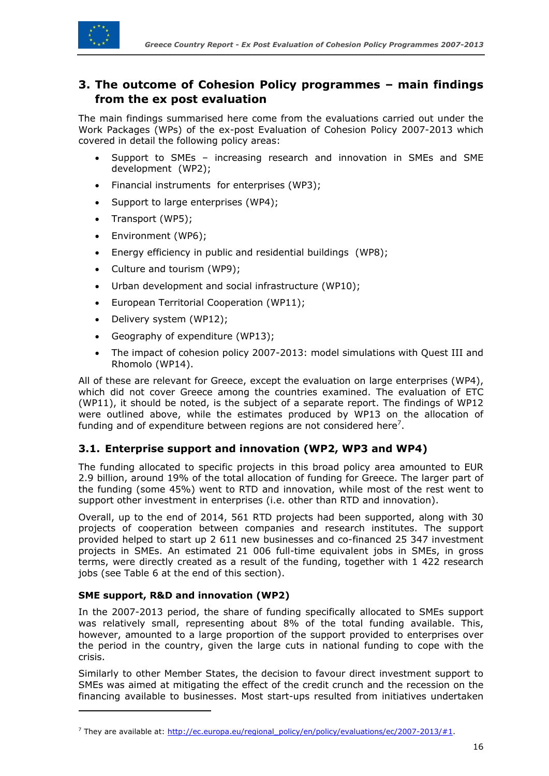

# <span id="page-15-0"></span>**3. The outcome of Cohesion Policy programmes – main findings from the ex post evaluation**

The main findings summarised here come from the evaluations carried out under the Work Packages (WPs) of the ex-post Evaluation of Cohesion Policy 2007-2013 which covered in detail the following policy areas:

- Support to SMEs increasing research and innovation in SMEs and SME development (WP2);
- Financial instruments for enterprises (WP3);
- Support to large enterprises (WP4);
- Transport (WP5);
- Environment (WP6);
- Energy efficiency in public and residential buildings (WP8);
- Culture and tourism (WP9);
- Urban development and social infrastructure (WP10);
- European Territorial Cooperation (WP11);
- Delivery system (WP12);
- Geography of expenditure (WP13);
- The impact of cohesion policy 2007-2013: model simulations with Quest III and Rhomolo (WP14).

All of these are relevant for Greece, except the evaluation on large enterprises (WP4), which did not cover Greece among the countries examined. The evaluation of ETC (WP11), it should be noted, is the subject of a separate report. The findings of WP12 were outlined above, while the estimates produced by WP13 on the allocation of funding and of expenditure between regions are not considered here<sup>7</sup>.

# <span id="page-15-1"></span>**3.1. Enterprise support and innovation (WP2, WP3 and WP4)**

The funding allocated to specific projects in this broad policy area amounted to EUR 2.9 billion, around 19% of the total allocation of funding for Greece. The larger part of the funding (some 45%) went to RTD and innovation, while most of the rest went to support other investment in enterprises (i.e. other than RTD and innovation).

Overall, up to the end of 2014, 561 RTD projects had been supported, along with 30 projects of cooperation between companies and research institutes. The support provided helped to start up 2 611 new businesses and co-financed 25 347 investment projects in SMEs. An estimated 21 006 full-time equivalent jobs in SMEs, in gross terms, were directly created as a result of the funding, together with 1 422 research jobs (see Table 6 at the end of this section).

#### **SME support, R&D and innovation (WP2)**

 $\overline{a}$ 

In the 2007-2013 period, the share of funding specifically allocated to SMEs support was relatively small, representing about 8% of the total funding available. This, however, amounted to a large proportion of the support provided to enterprises over the period in the country, given the large cuts in national funding to cope with the crisis.

Similarly to other Member States, the decision to favour direct investment support to SMEs was aimed at mitigating the effect of the credit crunch and the recession on the financing available to businesses. Most start-ups resulted from initiatives undertaken

<sup>&</sup>lt;sup>7</sup> They are available at: [http://ec.europa.eu/regional\\_policy/en/policy/evaluations/ec/2007-2013/#1.](http://ec.europa.eu/regional_policy/en/policy/evaluations/ec/2007-2013/#1)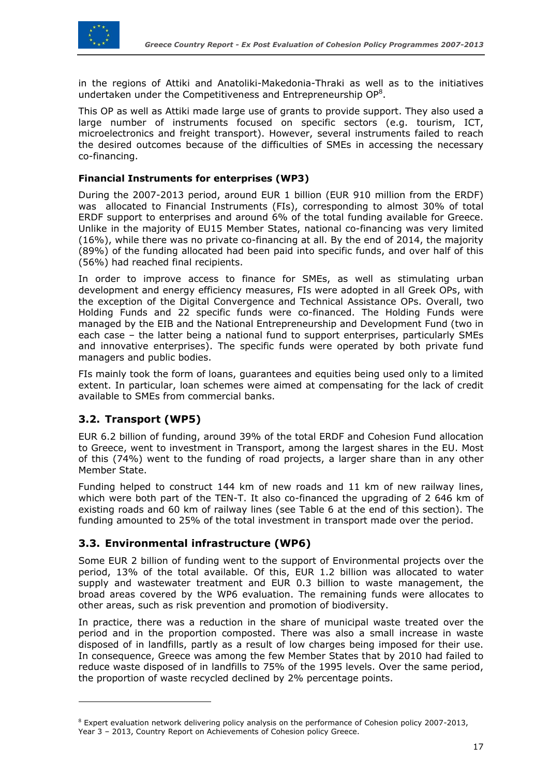

in the regions of Attiki and Anatoliki-Makedonia-Thraki as well as to the initiatives undertaken under the Competitiveness and Entrepreneurship  $OP<sup>8</sup>$ .

This OP as well as Attiki made large use of grants to provide support. They also used a large number of instruments focused on specific sectors (e.g. tourism, ICT, microelectronics and freight transport). However, several instruments failed to reach the desired outcomes because of the difficulties of SMEs in accessing the necessary co-financing.

#### **Financial Instruments for enterprises (WP3)**

During the 2007-2013 period, around EUR 1 billion (EUR 910 million from the ERDF) was allocated to Financial Instruments (FIs), corresponding to almost 30% of total ERDF support to enterprises and around 6% of the total funding available for Greece. Unlike in the majority of EU15 Member States, national co-financing was very limited (16%), while there was no private co-financing at all. By the end of 2014, the majority (89%) of the funding allocated had been paid into specific funds, and over half of this (56%) had reached final recipients.

In order to improve access to finance for SMEs, as well as stimulating urban development and energy efficiency measures, FIs were adopted in all Greek OPs, with the exception of the Digital Convergence and Technical Assistance OPs. Overall, two Holding Funds and 22 specific funds were co-financed. The Holding Funds were managed by the EIB and the National Entrepreneurship and Development Fund (two in each case – the latter being a national fund to support enterprises, particularly SMEs and innovative enterprises). The specific funds were operated by both private fund managers and public bodies.

FIs mainly took the form of loans, guarantees and equities being used only to a limited extent. In particular, loan schemes were aimed at compensating for the lack of credit available to SMEs from commercial banks.

# <span id="page-16-0"></span>**3.2. Transport (WP5)**

 $\overline{a}$ 

EUR 6.2 billion of funding, around 39% of the total ERDF and Cohesion Fund allocation to Greece, went to investment in Transport, among the largest shares in the EU. Most of this (74%) went to the funding of road projects, a larger share than in any other Member State.

Funding helped to construct 144 km of new roads and 11 km of new railway lines, which were both part of the TEN-T. It also co-financed the upgrading of 2 646 km of existing roads and 60 km of railway lines (see Table 6 at the end of this section). The funding amounted to 25% of the total investment in transport made over the period.

#### <span id="page-16-1"></span>**3.3. Environmental infrastructure (WP6)**

Some EUR 2 billion of funding went to the support of Environmental projects over the period, 13% of the total available. Of this, EUR 1.2 billion was allocated to water supply and wastewater treatment and EUR 0.3 billion to waste management, the broad areas covered by the WP6 evaluation. The remaining funds were allocates to other areas, such as risk prevention and promotion of biodiversity.

In practice, there was a reduction in the share of municipal waste treated over the period and in the proportion composted. There was also a small increase in waste disposed of in landfills, partly as a result of low charges being imposed for their use. In consequence, Greece was among the few Member States that by 2010 had failed to reduce waste disposed of in landfills to 75% of the 1995 levels. Over the same period, the proportion of waste recycled declined by 2% percentage points.

<sup>&</sup>lt;sup>8</sup> Expert evaluation network delivering policy analysis on the performance of Cohesion policy 2007-2013, Year 3 – 2013, Country Report on Achievements of Cohesion policy Greece.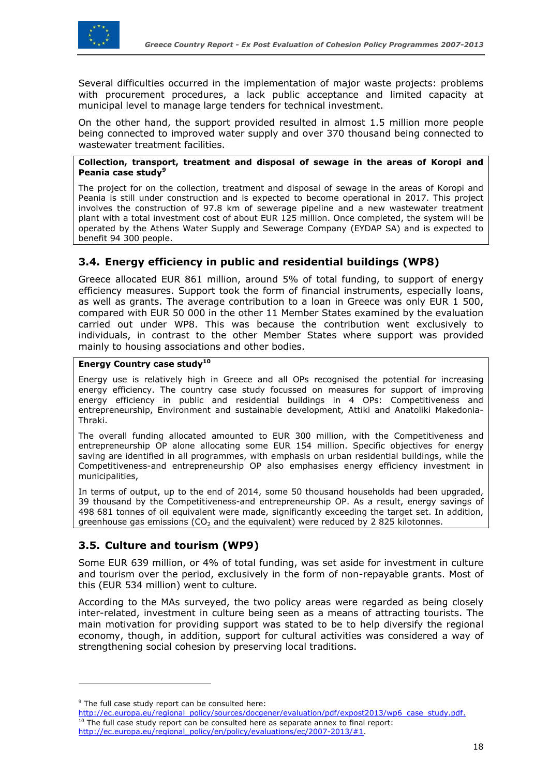

Several difficulties occurred in the implementation of major waste projects: problems with procurement procedures, a lack public acceptance and limited capacity at municipal level to manage large tenders for technical investment.

On the other hand, the support provided resulted in almost 1.5 million more people being connected to improved water supply and over 370 thousand being connected to wastewater treatment facilities.

#### **Collection, transport, treatment and disposal of sewage in the areas of Koropi and Peania case study<sup>9</sup>**

The project for on the collection, treatment and disposal of sewage in the areas of Koropi and Peania is still under construction and is expected to become operational in 2017. This project involves the construction of 97.8 km of sewerage pipeline and a new wastewater treatment plant with a total investment cost of about EUR 125 million. Once completed, the system will be operated by the Athens Water Supply and Sewerage Company (EYDAP SA) and is expected to benefit 94 300 people.

# <span id="page-17-0"></span>**3.4. Energy efficiency in public and residential buildings (WP8)**

Greece allocated EUR 861 million, around 5% of total funding, to support of energy efficiency measures. Support took the form of financial instruments, especially loans, as well as grants. The average contribution to a loan in Greece was only EUR 1 500, compared with EUR 50 000 in the other 11 Member States examined by the evaluation carried out under WP8. This was because the contribution went exclusively to individuals, in contrast to the other Member States where support was provided mainly to housing associations and other bodies.

#### **Energy Country case study<sup>10</sup>**

Energy use is relatively high in Greece and all OPs recognised the potential for increasing energy efficiency. The country case study focussed on measures for support of improving energy efficiency in public and residential buildings in 4 OPs: Competitiveness and entrepreneurship, Environment and sustainable development, Attiki and Anatoliki Makedonia-Thraki.

The overall funding allocated amounted to EUR 300 million, with the Competitiveness and entrepreneurship OP alone allocating some EUR 154 million. Specific objectives for energy saving are identified in all programmes, with emphasis on urban residential buildings, while the Competitiveness-and entrepreneurship OP also emphasises energy efficiency investment in municipalities,

In terms of output, up to the end of 2014, some 50 thousand households had been upgraded, 39 thousand by the Competitiveness-and entrepreneurship OP. As a result, energy savings of 498 681 tonnes of oil equivalent were made, significantly exceeding the target set. In addition, greenhouse gas emissions ( $CO<sub>2</sub>$  and the equivalent) were reduced by 2 825 kilotonnes.

# <span id="page-17-1"></span>**3.5. Culture and tourism (WP9)**

Some EUR 639 million, or 4% of total funding, was set aside for investment in culture and tourism over the period, exclusively in the form of non-repayable grants. Most of this (EUR 534 million) went to culture.

According to the MAs surveyed, the two policy areas were regarded as being closely inter-related, investment in culture being seen as a means of attracting tourists. The main motivation for providing support was stated to be to help diversify the regional economy, though, in addition, support for cultural activities was considered a way of strengthening social cohesion by preserving local traditions.

 $\overline{a}$ 

 $9$  The full case study report can be consulted here:

[http://ec.europa.eu/regional\\_policy/sources/docgener/evaluation/pdf/expost2013/wp6\\_case\\_study.pdf.](http://ec.europa.eu/regional_policy/sources/docgener/evaluation/pdf/expost2013/wp6_case_study.pdf)  $10$  The full case study report can be consulted here as separate annex to final report: [http://ec.europa.eu/regional\\_policy/en/policy/evaluations/ec/2007-2013/#1.](http://ec.europa.eu/regional_policy/en/policy/evaluations/ec/2007-2013/%231)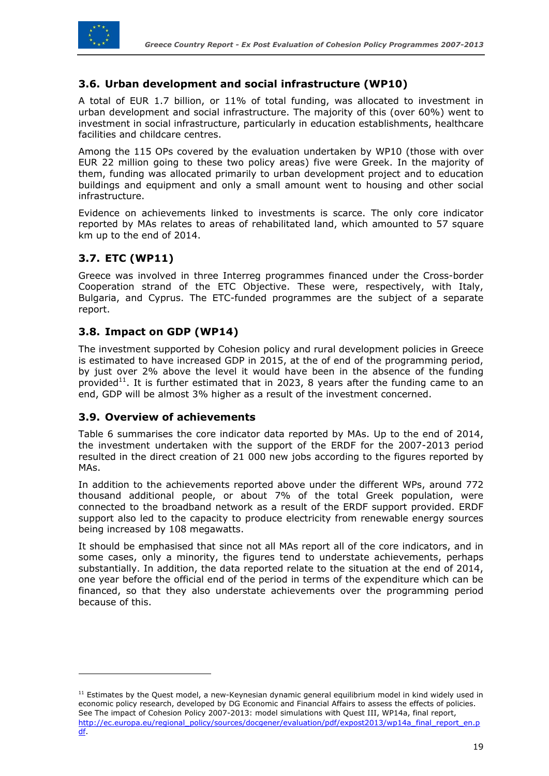

# <span id="page-18-0"></span>**3.6. Urban development and social infrastructure (WP10)**

A total of EUR 1.7 billion, or 11% of total funding, was allocated to investment in urban development and social infrastructure. The majority of this (over 60%) went to investment in social infrastructure, particularly in education establishments, healthcare facilities and childcare centres.

Among the 115 OPs covered by the evaluation undertaken by WP10 (those with over EUR 22 million going to these two policy areas) five were Greek. In the majority of them, funding was allocated primarily to urban development project and to education buildings and equipment and only a small amount went to housing and other social infrastructure.

Evidence on achievements linked to investments is scarce. The only core indicator reported by MAs relates to areas of rehabilitated land, which amounted to 57 square km up to the end of 2014.

# <span id="page-18-1"></span>**3.7. ETC (WP11)**

 $\overline{a}$ 

Greece was involved in three Interreg programmes financed under the Cross-border Cooperation strand of the ETC Objective. These were, respectively, with Italy, Bulgaria, and Cyprus. The ETC-funded programmes are the subject of a separate report.

# <span id="page-18-2"></span>**3.8. Impact on GDP (WP14)**

The investment supported by Cohesion policy and rural development policies in Greece is estimated to have increased GDP in 2015, at the of end of the programming period, by just over 2% above the level it would have been in the absence of the funding provided<sup>11</sup>. It is further estimated that in 2023, 8 years after the funding came to an end, GDP will be almost 3% higher as a result of the investment concerned.

#### <span id="page-18-3"></span>**3.9. Overview of achievements**

Table 6 summarises the core indicator data reported by MAs. Up to the end of 2014, the investment undertaken with the support of the ERDF for the 2007-2013 period resulted in the direct creation of 21 000 new jobs according to the figures reported by MAs.

In addition to the achievements reported above under the different WPs, around 772 thousand additional people, or about 7% of the total Greek population, were connected to the broadband network as a result of the ERDF support provided. ERDF support also led to the capacity to produce electricity from renewable energy sources being increased by 108 megawatts.

It should be emphasised that since not all MAs report all of the core indicators, and in some cases, only a minority, the figures tend to understate achievements, perhaps substantially. In addition, the data reported relate to the situation at the end of 2014, one year before the official end of the period in terms of the expenditure which can be financed, so that they also understate achievements over the programming period because of this.

 $11$  Estimates by the Quest model, a new-Keynesian dynamic general equilibrium model in kind widely used in economic policy research, developed by DG Economic and Financial Affairs to assess the effects of policies. See The impact of Cohesion Policy 2007-2013: model simulations with Quest III, WP14a, final report, [http://ec.europa.eu/regional\\_policy/sources/docgener/evaluation/pdf/expost2013/wp14a\\_final\\_report\\_en.p](http://ec.europa.eu/regional_policy/sources/docgener/evaluation/pdf/expost2013/wp14a_final_report_en.pdf) [df.](http://ec.europa.eu/regional_policy/sources/docgener/evaluation/pdf/expost2013/wp14a_final_report_en.pdf)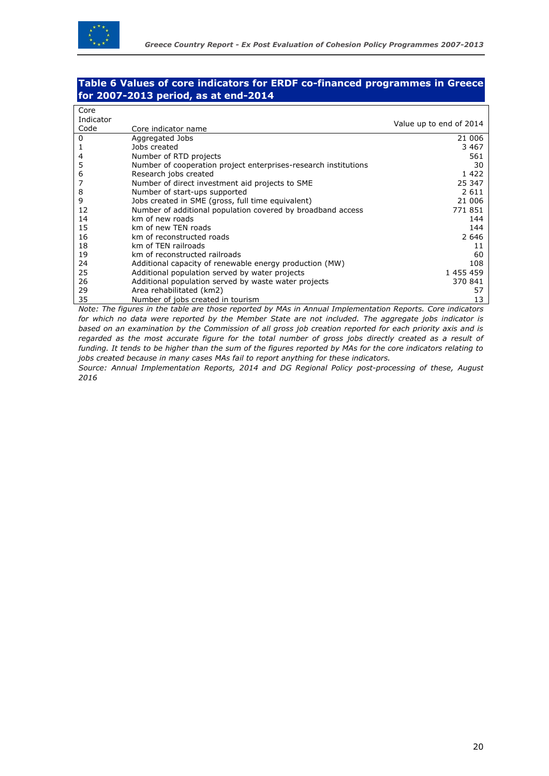

#### **Table 6 Values of core indicators for ERDF co-financed programmes in Greece for 2007-2013 period, as at end-2014**

| Core      |                                                                 |                         |
|-----------|-----------------------------------------------------------------|-------------------------|
| Indicator |                                                                 |                         |
| Code      | Core indicator name                                             | Value up to end of 2014 |
| 0         | Aggregated Jobs                                                 | 21 006                  |
|           | Jobs created                                                    | 3 4 6 7                 |
| 4         | Number of RTD projects                                          | 561                     |
| 5         | Number of cooperation project enterprises-research institutions | 30                      |
| 6         | Research jobs created                                           | 1422                    |
| 7         | Number of direct investment aid projects to SME                 | 25 347                  |
| 8         | Number of start-ups supported                                   | 2 6 1 1                 |
| 9         | Jobs created in SME (gross, full time equivalent)               | 21 006                  |
| 12        | Number of additional population covered by broadband access     | 771851                  |
| 14        | km of new roads                                                 | 144                     |
| 15        | km of new TEN roads                                             | 144                     |
| 16        | km of reconstructed roads                                       | 2 646                   |
| 18        | km of TEN railroads                                             | 11                      |
| 19        | km of reconstructed railroads                                   | 60                      |
| 24        | Additional capacity of renewable energy production (MW)         | 108                     |
| 25        | Additional population served by water projects                  | 1 455 459               |
| 26        | Additional population served by waste water projects            | 370 841                 |
| 29        | Area rehabilitated (km2)                                        | 57                      |
| 35        | Number of jobs created in tourism                               | 13                      |

*Note: The figures in the table are those reported by MAs in Annual Implementation Reports. Core indicators for which no data were reported by the Member State are not included. The aggregate jobs indicator is based on an examination by the Commission of all gross job creation reported for each priority axis and is regarded as the most accurate figure for the total number of gross jobs directly created as a result of funding. It tends to be higher than the sum of the figures reported by MAs for the core indicators relating to jobs created because in many cases MAs fail to report anything for these indicators.*

*Source: Annual Implementation Reports, 2014 and DG Regional Policy post-processing of these, August 2016*